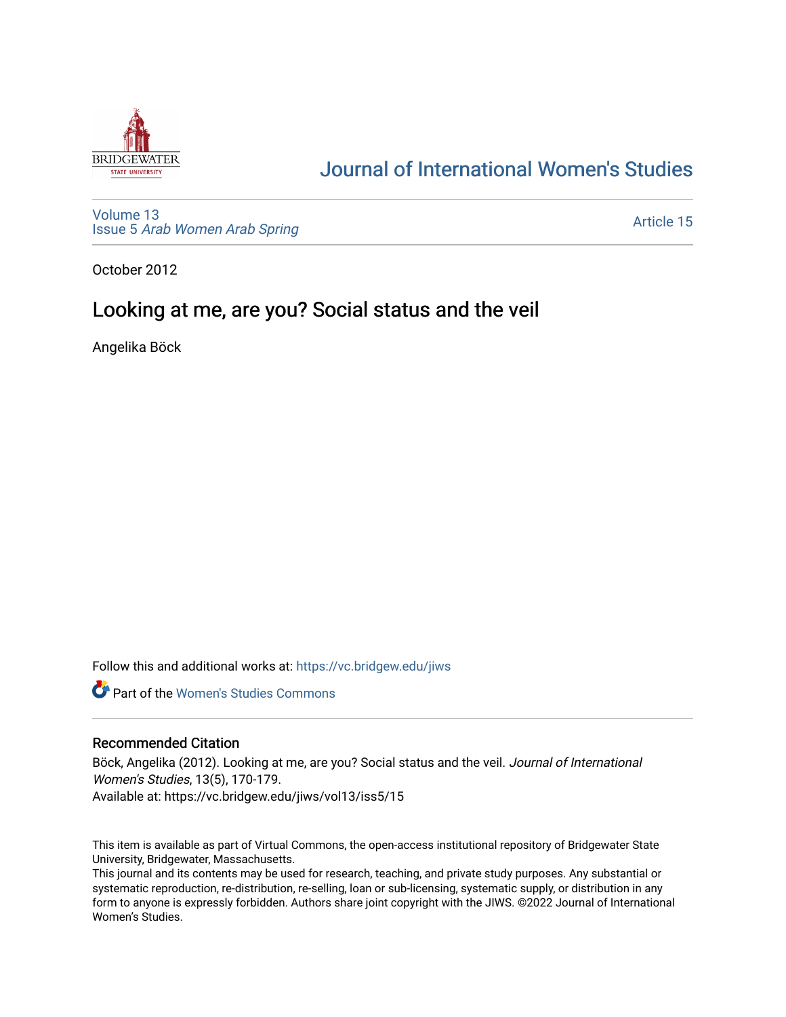

# [Journal of International Women's Studies](https://vc.bridgew.edu/jiws)

[Volume 13](https://vc.bridgew.edu/jiws/vol13) Issue 5 [Arab Women Arab Spring](https://vc.bridgew.edu/jiws/vol13/iss5)

[Article 15](https://vc.bridgew.edu/jiws/vol13/iss5/15) 

October 2012

# Looking at me, are you? Social status and the veil

Angelika Böck

Follow this and additional works at: [https://vc.bridgew.edu/jiws](https://vc.bridgew.edu/jiws?utm_source=vc.bridgew.edu%2Fjiws%2Fvol13%2Fiss5%2F15&utm_medium=PDF&utm_campaign=PDFCoverPages)

**C** Part of the Women's Studies Commons

#### Recommended Citation

Böck, Angelika (2012). Looking at me, are you? Social status and the veil. Journal of International Women's Studies, 13(5), 170-179. Available at: https://vc.bridgew.edu/jiws/vol13/iss5/15

This item is available as part of Virtual Commons, the open-access institutional repository of Bridgewater State University, Bridgewater, Massachusetts.

This journal and its contents may be used for research, teaching, and private study purposes. Any substantial or systematic reproduction, re-distribution, re-selling, loan or sub-licensing, systematic supply, or distribution in any form to anyone is expressly forbidden. Authors share joint copyright with the JIWS. ©2022 Journal of International Women's Studies.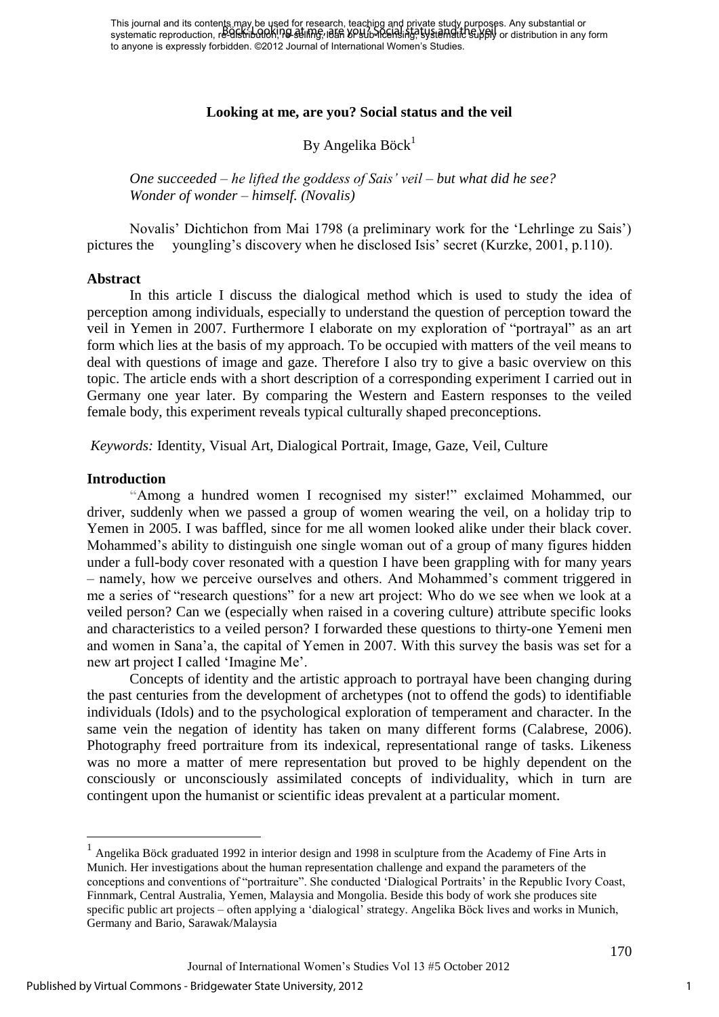This journal and its contents may be used for research, teaching and private study purposes. Any substantial or The journal and he concentrating, be officed on receation, ready, but in the supply called stripg. In the caboultion of the veilance of the veilance of the veilance of the veilance of the veilance of the veilance of the ve to anyone is expressly forbidden. ©2012 Journal of International Women's Studies.

#### **Looking at me, are you? Social status and the veil**

# By Angelika Böck $1$

*One succeeded – he lifted the goddess of Sais' veil – but what did he see? Wonder of wonder – himself. (Novalis)* 

Novalis' Dichtichon from Mai 1798 (a preliminary work for the 'Lehrlinge zu Sais') pictures the youngling's discovery when he disclosed Isis' secret (Kurzke, 2001, p.110).

#### **Abstract**

In this article I discuss the dialogical method which is used to study the idea of perception among individuals, especially to understand the question of perception toward the veil in Yemen in 2007. Furthermore I elaborate on my exploration of "portrayal" as an art form which lies at the basis of my approach. To be occupied with matters of the veil means to deal with questions of image and gaze. Therefore I also try to give a basic overview on this topic. The article ends with a short description of a corresponding experiment I carried out in Germany one year later. By comparing the Western and Eastern responses to the veiled female body, this experiment reveals typical culturally shaped preconceptions.

*Keywords:* Identity, Visual Art, Dialogical Portrait, Image, Gaze, Veil, Culture

#### **Introduction**

1

**"**Among a hundred women I recognised my sister!" exclaimed Mohammed, our driver, suddenly when we passed a group of women wearing the veil, on a holiday trip to Yemen in 2005. I was baffled, since for me all women looked alike under their black cover. Mohammed's ability to distinguish one single woman out of a group of many figures hidden under a full-body cover resonated with a question I have been grappling with for many years – namely, how we perceive ourselves and others. And Mohammed's comment triggered in me a series of "research questions" for a new art project: Who do we see when we look at a veiled person? Can we (especially when raised in a covering culture) attribute specific looks and characteristics to a veiled person? I forwarded these questions to thirty-one Yemeni men and women in Sana'a, the capital of Yemen in 2007. With this survey the basis was set for a new art project I called 'Imagine Me'.

Concepts of identity and the artistic approach to portrayal have been changing during the past centuries from the development of archetypes (not to offend the gods) to identifiable individuals (Idols) and to the psychological exploration of temperament and character. In the same vein the negation of identity has taken on many different forms (Calabrese, 2006). Photography freed portraiture from its indexical, representational range of tasks. Likeness was no more a matter of mere representation but proved to be highly dependent on the consciously or unconsciously assimilated concepts of individuality, which in turn are contingent upon the humanist or scientific ideas prevalent at a particular moment.

<sup>&</sup>lt;sup>1</sup> Angelika Böck graduated 1992 in interior design and 1998 in sculpture from the Academy of Fine Arts in Munich. Her investigations about the human representation challenge and expand the parameters of the conceptions and conventions of "portraiture". She conducted 'Dialogical Portraits' in the Republic Ivory Coast, Finnmark, Central Australia, Yemen, Malaysia and Mongolia. Beside this body of work she produces site specific public art projects – often applying a 'dialogical' strategy. Angelika Böck lives and works in Munich, Germany and Bario, Sarawak/Malaysia

Journal of International Women's Studies Vol 13 #5 October 2012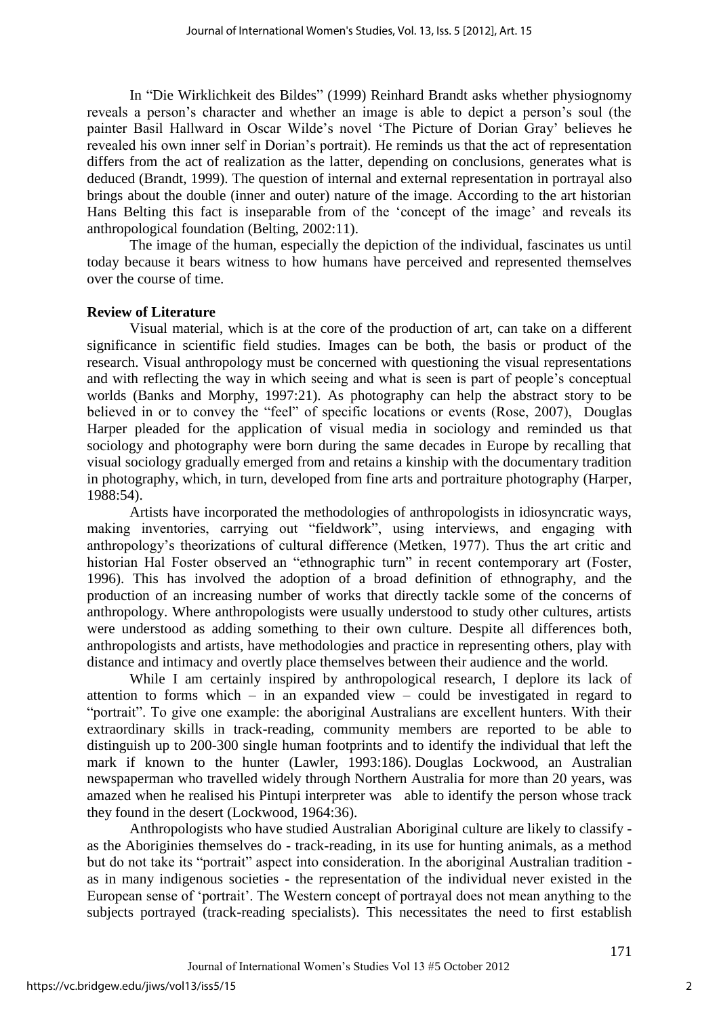In "Die Wirklichkeit des Bildes" (1999) Reinhard Brandt asks whether physiognomy reveals a person's character and whether an image is able to depict a person's soul (the painter Basil Hallward in Oscar Wilde's novel 'The Picture of Dorian Gray' believes he revealed his own inner self in Dorian's portrait). He reminds us that the act of representation differs from the act of realization as the latter, depending on conclusions, generates what is deduced (Brandt, 1999). The question of internal and external representation in portrayal also brings about the double (inner and outer) nature of the image. According to the art historian Hans Belting this fact is inseparable from of the 'concept of the image' and reveals its anthropological foundation (Belting, 2002:11).

 The image of the human, especially the depiction of the individual, fascinates us until today because it bears witness to how humans have perceived and represented themselves over the course of time.

### **Review of Literature**

 Visual material, which is at the core of the production of art, can take on a different significance in scientific field studies. Images can be both, the basis or product of the research. Visual anthropology must be concerned with questioning the visual representations and with reflecting the way in which seeing and what is seen is part of people's conceptual worlds (Banks and Morphy, 1997:21). As photography can help the abstract story to be believed in or to convey the "feel" of specific locations or events (Rose, 2007), Douglas Harper pleaded for the application of visual media in sociology and reminded us that sociology and photography were born during the same decades in Europe by recalling that visual sociology gradually emerged from and retains a kinship with the documentary tradition in photography, which, in turn, developed from fine arts and portraiture photography (Harper, 1988:54).

Artists have incorporated the methodologies of anthropologists in idiosyncratic ways, making inventories, carrying out "fieldwork", using interviews, and engaging with anthropology's theorizations of cultural difference (Metken, 1977). Thus the art critic and historian Hal Foster observed an "ethnographic turn" in recent contemporary art (Foster, 1996). This has involved the adoption of a broad definition of ethnography, and the production of an increasing number of works that directly tackle some of the concerns of anthropology. Where anthropologists were usually understood to study other cultures, artists were understood as adding something to their own culture. Despite all differences both, anthropologists and artists, have methodologies and practice in representing others, play with distance and intimacy and overtly place themselves between their audience and the world.

While I am certainly inspired by anthropological research, I deplore its lack of attention to forms which – in an expanded view – could be investigated in regard to "portrait". To give one example: the aboriginal Australians are excellent hunters. With their extraordinary skills in track-reading, community members are reported to be able to distinguish up to 200-300 single human footprints and to identify the individual that left the mark if known to the hunter (Lawler, 1993:186). Douglas Lockwood, an Australian newspaperman who travelled widely through Northern Australia for more than 20 years, was amazed when he realised his Pintupi interpreter was able to identify the person whose track they found in the desert (Lockwood, 1964:36).

Anthropologists who have studied Australian Aboriginal culture are likely to classify as the Aboriginies themselves do - track-reading, in its use for hunting animals, as a method but do not take its "portrait" aspect into consideration. In the aboriginal Australian tradition as in many indigenous societies - the representation of the individual never existed in the European sense of 'portrait'. The Western concept of portrayal does not mean anything to the subjects portrayed (track-reading specialists). This necessitates the need to first establish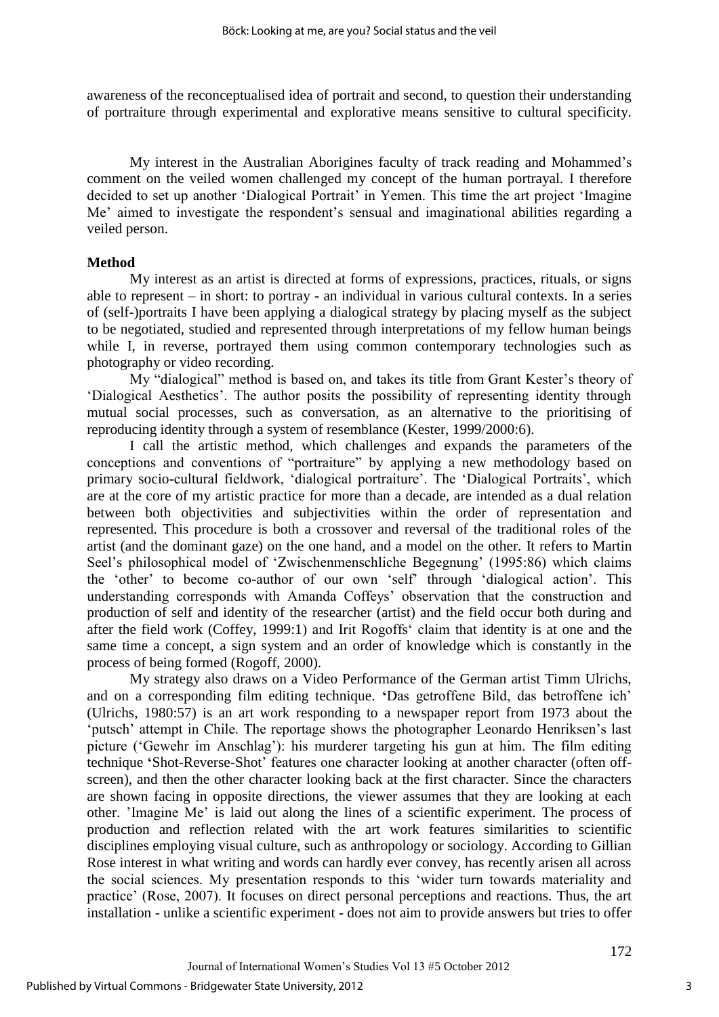awareness of the reconceptualised idea of portrait and second, to question their understanding of portraiture through experimental and explorative means sensitive to cultural specificity.

 My interest in the Australian Aborigines faculty of track reading and Mohammed's comment on the veiled women challenged my concept of the human portrayal. I therefore decided to set up another 'Dialogical Portrait' in Yemen. This time the art project 'Imagine Me' aimed to investigate the respondent's sensual and imaginational abilities regarding a veiled person.

### **Method**

 My interest as an artist is directed at forms of expressions, practices, rituals, or signs able to represent – in short: to portray - an individual in various cultural contexts. In a series of (self-)portraits I have been applying a dialogical strategy by placing myself as the subject to be negotiated, studied and represented through interpretations of my fellow human beings while I, in reverse, portrayed them using common contemporary technologies such as photography or video recording.

My "dialogical" method is based on, and takes its title from Grant Kester's theory of 'Dialogical Aesthetics'. The author posits the possibility of representing identity through mutual social processes, such as conversation, as an alternative to the prioritising of reproducing identity through a system of resemblance (Kester, 1999/2000:6).

 I call the artistic method, which challenges and expands the parameters of the conceptions and conventions of "portraiture" by applying a new methodology based on primary socio-cultural fieldwork, 'dialogical portraiture'. The 'Dialogical Portraits', which are at the core of my artistic practice for more than a decade, are intended as a dual relation between both objectivities and subjectivities within the order of representation and represented. This procedure is both a crossover and reversal of the traditional roles of the artist (and the dominant gaze) on the one hand, and a model on the other. It refers to Martin Seel's philosophical model of 'Zwischenmenschliche Begegnung' (1995:86) which claims the 'other' to become co-author of our own 'self' through 'dialogical action'. This understanding corresponds with Amanda Coffeys' observation that the construction and production of self and identity of the researcher (artist) and the field occur both during and after the field work (Coffey, 1999:1) and Irit Rogoffs' claim that identity is at one and the same time a concept, a sign system and an order of knowledge which is constantly in the process of being formed (Rogoff, 2000).

My strategy also draws on a Video Performance of the German artist Timm Ulrichs, and on a corresponding film editing technique. **'**Das getroffene Bild, das betroffene ich' (Ulrichs, 1980:57) is an art work responding to a newspaper report from 1973 about the 'putsch' attempt in Chile. The reportage shows the photographer Leonardo Henriksen's last picture ('Gewehr im Anschlag'): his murderer targeting his gun at him. The film editing technique **'**Shot-Reverse-Shot' features one character looking at another character (often offscreen), and then the other character looking back at the first character. Since the characters are shown facing in opposite directions, the viewer assumes that they are looking at each other. 'Imagine Me' is laid out along the lines of a scientific experiment. The process of production and reflection related with the art work features similarities to scientific disciplines employing visual culture, such as anthropology or sociology. According to Gillian Rose interest in what writing and words can hardly ever convey, has recently arisen all across the social sciences. My presentation responds to this 'wider turn towards materiality and practice' (Rose, 2007). It focuses on direct personal perceptions and reactions. Thus, the art installation - unlike a scientific experiment - does not aim to provide answers but tries to offer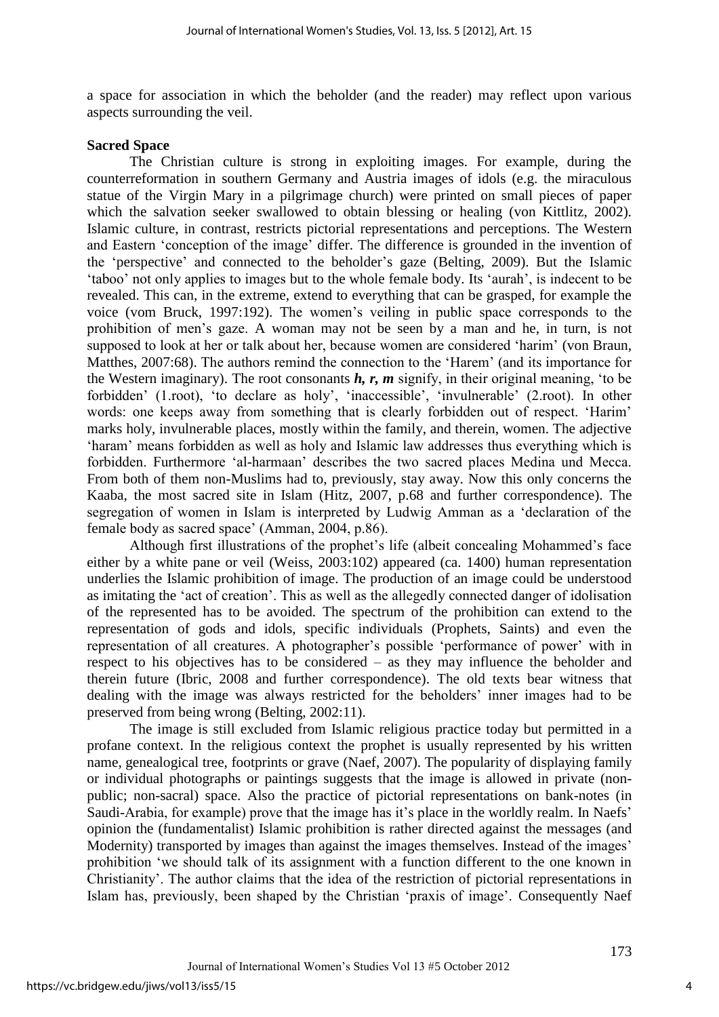a space for association in which the beholder (and the reader) may reflect upon various aspects surrounding the veil.

#### **Sacred Space**

 The Christian culture is strong in exploiting images. For example, during the counterreformation in southern Germany and Austria images of idols (e.g. the miraculous statue of the Virgin Mary in a pilgrimage church) were printed on small pieces of paper which the salvation seeker swallowed to obtain blessing or healing (von Kittlitz, 2002). Islamic culture, in contrast, restricts pictorial representations and perceptions. The Western and Eastern 'conception of the image' differ. The difference is grounded in the invention of the 'perspective' and connected to the beholder's gaze (Belting, 2009). But the Islamic 'taboo' not only applies to images but to the whole female body. Its 'aurah', is indecent to be revealed. This can, in the extreme, extend to everything that can be grasped, for example the voice (vom Bruck, 1997:192). The women's veiling in public space corresponds to the prohibition of men's gaze. A woman may not be seen by a man and he, in turn, is not supposed to look at her or talk about her, because women are considered 'harim' (von Braun, Matthes, 2007:68). The authors remind the connection to the 'Harem' (and its importance for the Western imaginary). The root consonants *h, r, m* signify, in their original meaning, 'to be forbidden' (1.root), 'to declare as holy', 'inaccessible', 'invulnerable' (2.root). In other words: one keeps away from something that is clearly forbidden out of respect. 'Harim' marks holy, invulnerable places, mostly within the family, and therein, women. The adjective 'haram' means forbidden as well as holy and Islamic law addresses thus everything which is forbidden. Furthermore 'al-harmaan' describes the two sacred places Medina und Mecca. From both of them non-Muslims had to, previously, stay away. Now this only concerns the Kaaba, the most sacred site in Islam (Hitz, 2007, p.68 and further correspondence). The segregation of women in Islam is interpreted by Ludwig Amman as a 'declaration of the female body as sacred space' (Amman, 2004, p.86).

Although first illustrations of the prophet's life (albeit concealing Mohammed's face either by a white pane or veil (Weiss, 2003:102) appeared (ca. 1400) human representation underlies the Islamic prohibition of image. The production of an image could be understood as imitating the 'act of creation'. This as well as the allegedly connected danger of idolisation of the represented has to be avoided. The spectrum of the prohibition can extend to the representation of gods and idols, specific individuals (Prophets, Saints) and even the representation of all creatures. A photographer's possible 'performance of power' with in respect to his objectives has to be considered – as they may influence the beholder and therein future (Ibric, 2008 and further correspondence). The old texts bear witness that dealing with the image was always restricted for the beholders' inner images had to be preserved from being wrong (Belting, 2002:11).

 The image is still excluded from Islamic religious practice today but permitted in a profane context. In the religious context the prophet is usually represented by his written name, genealogical tree, footprints or grave (Naef, 2007). The popularity of displaying family or individual photographs or paintings suggests that the image is allowed in private (nonpublic; non-sacral) space. Also the practice of pictorial representations on bank-notes (in Saudi-Arabia, for example) prove that the image has it's place in the worldly realm. In Naefs' opinion the (fundamentalist) Islamic prohibition is rather directed against the messages (and Modernity) transported by images than against the images themselves. Instead of the images' prohibition 'we should talk of its assignment with a function different to the one known in Christianity'. The author claims that the idea of the restriction of pictorial representations in Islam has, previously, been shaped by the Christian 'praxis of image'. Consequently Naef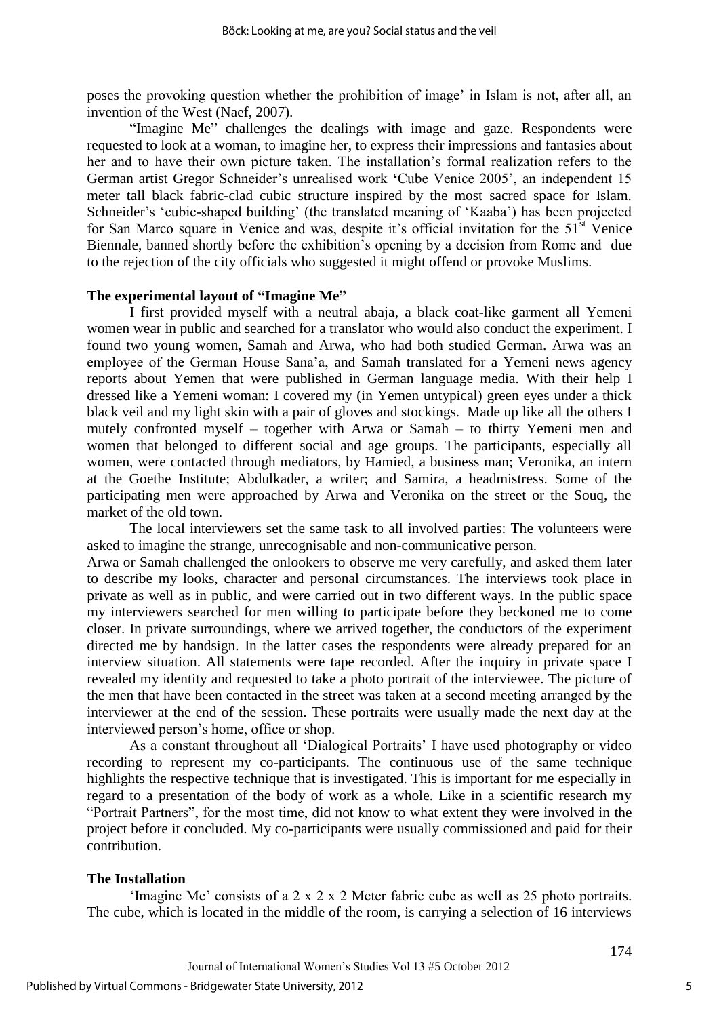poses the provoking question whether the prohibition of image' in Islam is not, after all, an invention of the West (Naef, 2007).

"Imagine Me" challenges the dealings with image and gaze. Respondents were requested to look at a woman, to imagine her, to express their impressions and fantasies about her and to have their own picture taken. The installation's formal realization refers to the German artist Gregor Schneider's unrealised work **'**Cube Venice 2005', an independent 15 meter tall black fabric-clad cubic structure inspired by the most sacred space for Islam. Schneider's 'cubic-shaped building' (the translated meaning of 'Kaaba') has been projected for San Marco square in Venice and was, despite it's official invitation for the 51<sup>st</sup> Venice Biennale, banned shortly before the exhibition's opening by a decision from Rome and due to the rejection of the city officials who suggested it might offend or provoke Muslims.

#### **The experimental layout of "Imagine Me"**

 I first provided myself with a neutral abaja, a black coat-like garment all Yemeni women wear in public and searched for a translator who would also conduct the experiment. I found two young women, Samah and Arwa, who had both studied German. Arwa was an employee of the German House Sana'a, and Samah translated for a Yemeni news agency reports about Yemen that were published in German language media. With their help I dressed like a Yemeni woman: I covered my (in Yemen untypical) green eyes under a thick black veil and my light skin with a pair of gloves and stockings. Made up like all the others I mutely confronted myself – together with Arwa or Samah – to thirty Yemeni men and women that belonged to different social and age groups. The participants, especially all women, were contacted through mediators, by Hamied, a business man; Veronika, an intern at the Goethe Institute; Abdulkader, a writer; and Samira, a headmistress. Some of the participating men were approached by Arwa and Veronika on the street or the Souq, the market of the old town.

 The local interviewers set the same task to all involved parties: The volunteers were asked to imagine the strange, unrecognisable and non-communicative person.

Arwa or Samah challenged the onlookers to observe me very carefully, and asked them later to describe my looks, character and personal circumstances. The interviews took place in private as well as in public, and were carried out in two different ways. In the public space my interviewers searched for men willing to participate before they beckoned me to come closer. In private surroundings, where we arrived together, the conductors of the experiment directed me by handsign. In the latter cases the respondents were already prepared for an interview situation. All statements were tape recorded. After the inquiry in private space I revealed my identity and requested to take a photo portrait of the interviewee. The picture of the men that have been contacted in the street was taken at a second meeting arranged by the interviewer at the end of the session. These portraits were usually made the next day at the interviewed person's home, office or shop.

As a constant throughout all 'Dialogical Portraits' I have used photography or video recording to represent my co-participants. The continuous use of the same technique highlights the respective technique that is investigated. This is important for me especially in regard to a presentation of the body of work as a whole. Like in a scientific research my "Portrait Partners", for the most time, did not know to what extent they were involved in the project before it concluded. My co-participants were usually commissioned and paid for their contribution.

#### **The Installation**

'Imagine Me' consists of a 2 x 2 x 2 Meter fabric cube as well as 25 photo portraits. The cube, which is located in the middle of the room, is carrying a selection of 16 interviews

5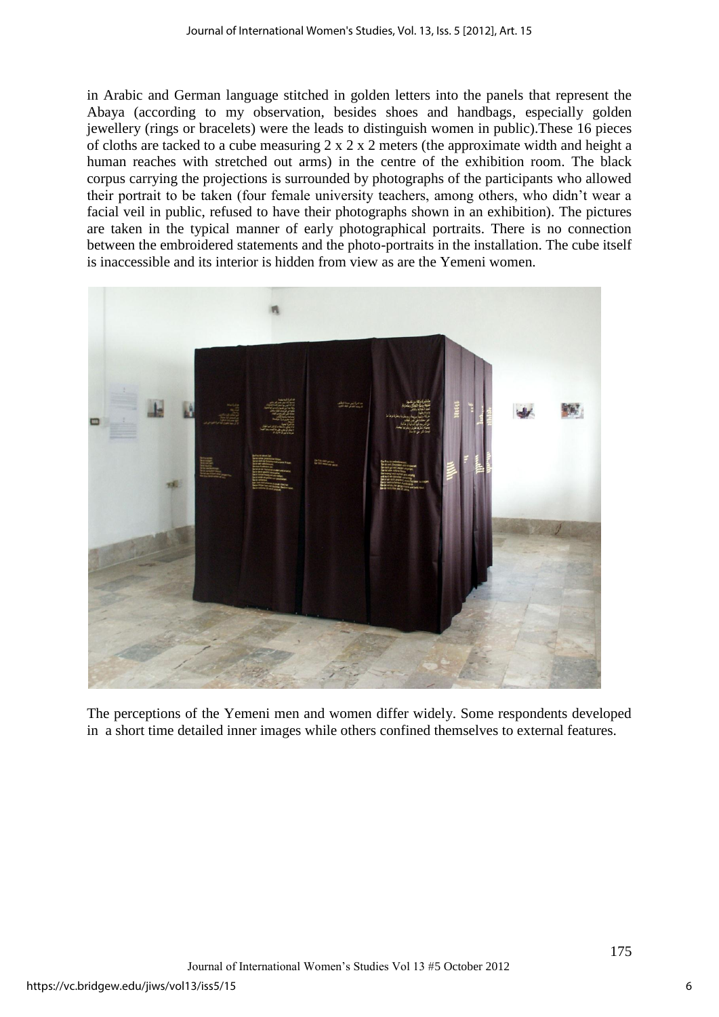in Arabic and German language stitched in golden letters into the panels that represent the Abaya (according to my observation, besides shoes and handbags, especially golden jewellery (rings or bracelets) were the leads to distinguish women in public).These 16 pieces of cloths are tacked to a cube measuring  $2 \times 2 \times 2$  meters (the approximate width and height a human reaches with stretched out arms) in the centre of the exhibition room. The black corpus carrying the projections is surrounded by photographs of the participants who allowed their portrait to be taken (four female university teachers, among others, who didn't wear a facial veil in public, refused to have their photographs shown in an exhibition). The pictures are taken in the typical manner of early photographical portraits. There is no connection between the embroidered statements and the photo-portraits in the installation. The cube itself is inaccessible and its interior is hidden from view as are the Yemeni women.



The perceptions of the Yemeni men and women differ widely. Some respondents developed in a short time detailed inner images while others confined themselves to external features.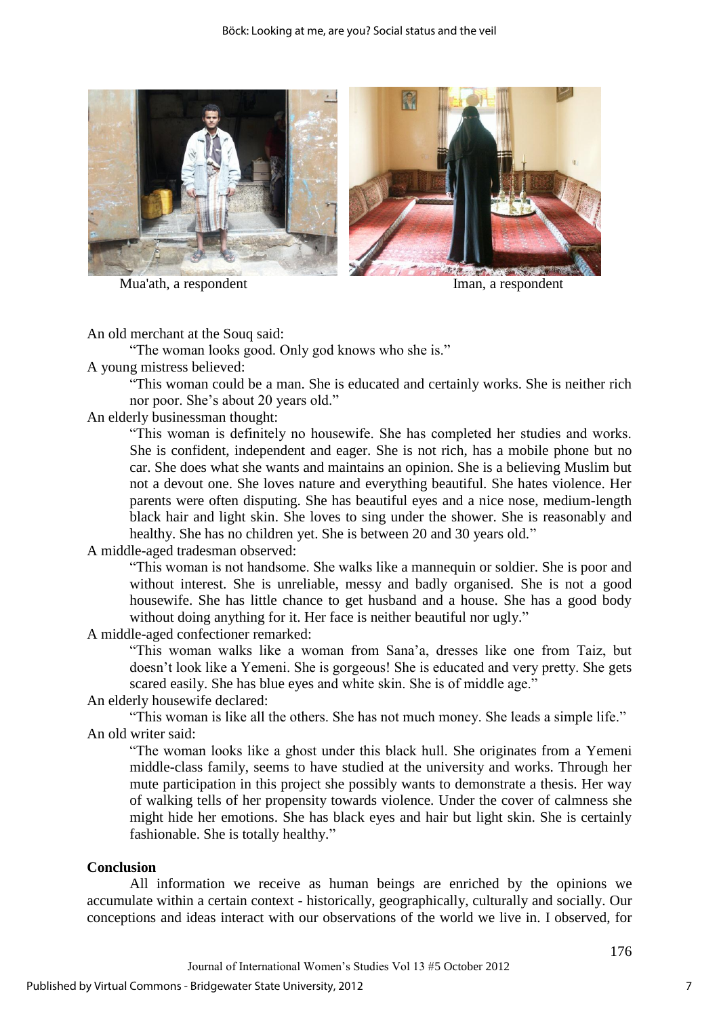

Mua'ath, a respondent Iman, a respondent



An old merchant at the Souq said:

"The woman looks good. Only god knows who she is."

A young mistress believed:

"This woman could be a man. She is educated and certainly works. She is neither rich nor poor. She's about 20 years old."

l

An elderly businessman thought:

"This woman is definitely no housewife. She has completed her studies and works. She is confident, independent and eager. She is not rich, has a mobile phone but no car. She does what she wants and maintains an opinion. She is a believing Muslim but not a devout one. She loves nature and everything beautiful. She hates violence. Her parents were often disputing. She has beautiful eyes and a nice nose, medium-length black hair and light skin. She loves to sing under the shower. She is reasonably and healthy. She has no children yet. She is between 20 and 30 years old."

A middle-aged tradesman observed:

"This woman is not handsome. She walks like a mannequin or soldier. She is poor and without interest. She is unreliable, messy and badly organised. She is not a good housewife. She has little chance to get husband and a house. She has a good body without doing anything for it. Her face is neither beautiful nor ugly."

A middle-aged confectioner remarked:

"This woman walks like a woman from Sana'a, dresses like one from Taiz, but doesn't look like a Yemeni. She is gorgeous! She is educated and very pretty. She gets scared easily. She has blue eyes and white skin. She is of middle age."

An elderly housewife declared:

"This woman is like all the others. She has not much money. She leads a simple life." An old writer said:

"The woman looks like a ghost under this black hull. She originates from a Yemeni middle-class family, seems to have studied at the university and works. Through her mute participation in this project she possibly wants to demonstrate a thesis. Her way of walking tells of her propensity towards violence. Under the cover of calmness she might hide her emotions. She has black eyes and hair but light skin. She is certainly fashionable. She is totally healthy."

# **Conclusion**

 All information we receive as human beings are enriched by the opinions we accumulate within a certain context - historically, geographically, culturally and socially. Our conceptions and ideas interact with our observations of the world we live in. I observed, for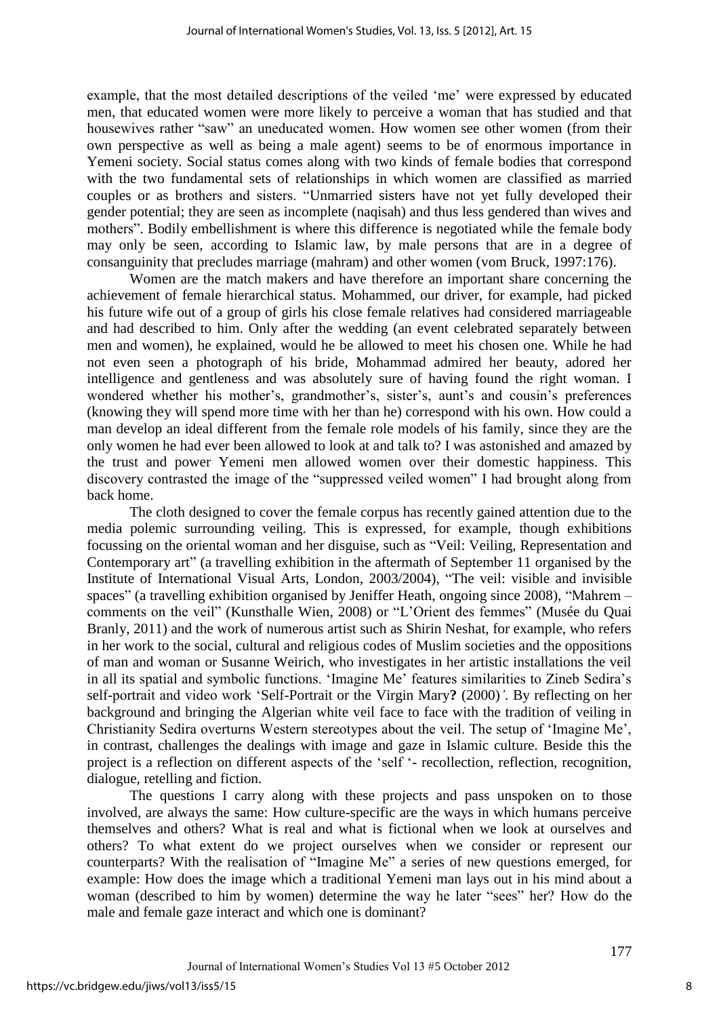example, that the most detailed descriptions of the veiled 'me' were expressed by educated men, that educated women were more likely to perceive a woman that has studied and that housewives rather "saw" an uneducated women. How women see other women (from their own perspective as well as being a male agent) seems to be of enormous importance in Yemeni society. Social status comes along with two kinds of female bodies that correspond with the two fundamental sets of relationships in which women are classified as married couples or as brothers and sisters. "Unmarried sisters have not yet fully developed their gender potential; they are seen as incomplete (naqisah) and thus less gendered than wives and mothers". Bodily embellishment is where this difference is negotiated while the female body may only be seen, according to Islamic law, by male persons that are in a degree of consanguinity that precludes marriage (mahram) and other women (vom Bruck, 1997:176).

 Women are the match makers and have therefore an important share concerning the achievement of female hierarchical status. Mohammed, our driver, for example, had picked his future wife out of a group of girls his close female relatives had considered marriageable and had described to him. Only after the wedding (an event celebrated separately between men and women), he explained, would he be allowed to meet his chosen one. While he had not even seen a photograph of his bride, Mohammad admired her beauty, adored her intelligence and gentleness and was absolutely sure of having found the right woman. I wondered whether his mother's, grandmother's, sister's, aunt's and cousin's preferences (knowing they will spend more time with her than he) correspond with his own. How could a man develop an ideal different from the female role models of his family, since they are the only women he had ever been allowed to look at and talk to? I was astonished and amazed by the trust and power Yemeni men allowed women over their domestic happiness. This discovery contrasted the image of the "suppressed veiled women" I had brought along from back home.

The cloth designed to cover the female corpus has recently gained attention due to the media polemic surrounding veiling. This is expressed, for example, though exhibitions focussing on the oriental woman and her disguise, such as "Veil: Veiling, Representation and Contemporary art" (a travelling exhibition in the aftermath of September 11 organised by the Institute of International Visual Arts, London, 2003/2004), "The veil: visible and invisible spaces" (a travelling exhibition organised by Jeniffer Heath, ongoing since 2008), "Mahrem – comments on the veil" (Kunsthalle Wien, 2008) or "L'Orient des femmes" (Musée du Quai Branly, 2011) and the work of numerous artist such as Shirin Neshat, for example, who refers in her work to the social, cultural and religious codes of Muslim societies and the oppositions of man and woman or Susanne Weirich, who investigates in her artistic installations the veil in all its spatial and symbolic functions. 'Imagine Me' features similarities to Zineb Sedira's self-portrait and video work 'Self-Portrait or the Virgin Mary**?** (2000)*'*. By reflecting on her background and bringing the Algerian white veil face to face with the tradition of veiling in Christianity Sedira overturns Western stereotypes about the veil. The setup of 'Imagine Me', in contrast, challenges the dealings with image and gaze in Islamic culture. Beside this the project is a reflection on different aspects of the 'self '- recollection, reflection, recognition, dialogue, retelling and fiction.

The questions I carry along with these projects and pass unspoken on to those involved, are always the same: How culture-specific are the ways in which humans perceive themselves and others? What is real and what is fictional when we look at ourselves and others? To what extent do we project ourselves when we consider or represent our counterparts? With the realisation of "Imagine Me" a series of new questions emerged, for example: How does the image which a traditional Yemeni man lays out in his mind about a woman (described to him by women) determine the way he later "sees" her? How do the male and female gaze interact and which one is dominant?

8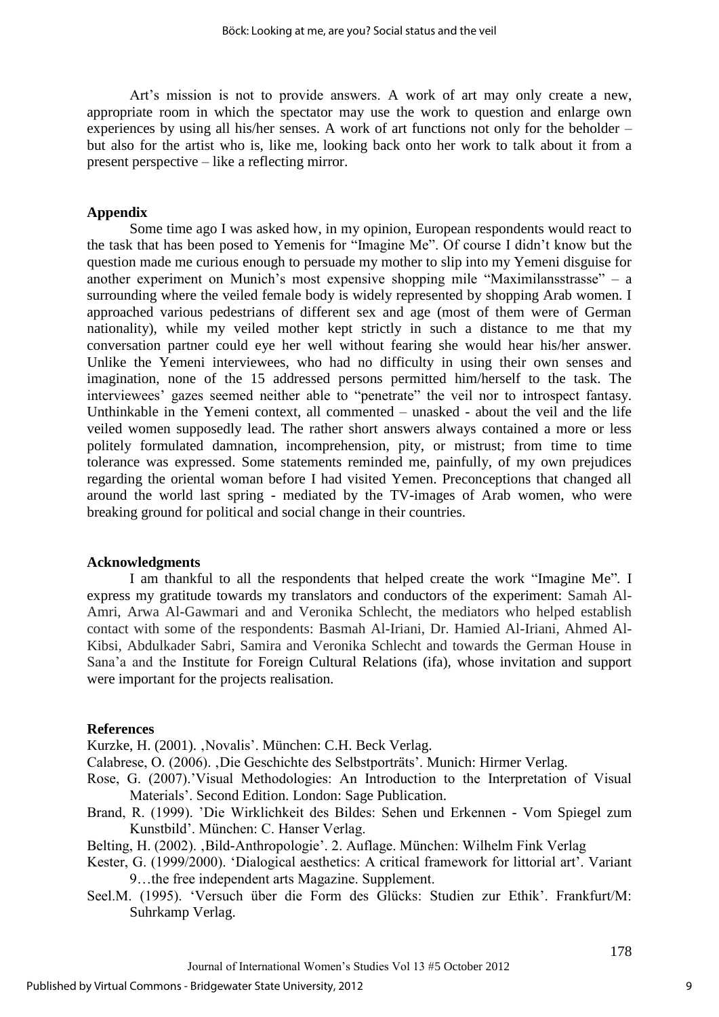Art's mission is not to provide answers. A work of art may only create a new, appropriate room in which the spectator may use the work to question and enlarge own experiences by using all his/her senses. A work of art functions not only for the beholder – but also for the artist who is, like me, looking back onto her work to talk about it from a present perspective – like a reflecting mirror.

# **Appendix**

 Some time ago I was asked how, in my opinion, European respondents would react to the task that has been posed to Yemenis for "Imagine Me". Of course I didn't know but the question made me curious enough to persuade my mother to slip into my Yemeni disguise for another experiment on Munich's most expensive shopping mile "Maximilansstrasse" – a surrounding where the veiled female body is widely represented by shopping Arab women. I approached various pedestrians of different sex and age (most of them were of German nationality), while my veiled mother kept strictly in such a distance to me that my conversation partner could eye her well without fearing she would hear his/her answer. Unlike the Yemeni interviewees, who had no difficulty in using their own senses and imagination, none of the 15 addressed persons permitted him/herself to the task. The interviewees' gazes seemed neither able to "penetrate" the veil nor to introspect fantasy. Unthinkable in the Yemeni context, all commented – unasked - about the veil and the life veiled women supposedly lead. The rather short answers always contained a more or less politely formulated damnation, incomprehension, pity, or mistrust; from time to time tolerance was expressed. Some statements reminded me, painfully, of my own prejudices regarding the oriental woman before I had visited Yemen. Preconceptions that changed all around the world last spring - mediated by the TV-images of Arab women, who were breaking ground for political and social change in their countries.

#### **Acknowledgments**

 I am thankful to all the respondents that helped create the work "Imagine Me"*.* I express my gratitude towards my translators and conductors of the experiment: Samah Al-Amri, Arwa Al-Gawmari and and Veronika Schlecht, the mediators who helped establish contact with some of the respondents: Basmah Al-Iriani, Dr. Hamied Al-Iriani, Ahmed Al-Kibsi, Abdulkader Sabri, Samira and Veronika Schlecht and towards the German House in Sana'a and the Institute for Foreign Cultural Relations (ifa), whose invitation and support were important for the projects realisation.

# **References**

Kurzke, H. (2001). , Novalis'. München: C.H. Beck Verlag.

- Calabrese, O. (2006). 'Die Geschichte des Selbstporträts'. Munich: Hirmer Verlag.
- Rose, G. (2007).'Visual Methodologies: An Introduction to the Interpretation of Visual Materials'. Second Edition. London: Sage Publication.
- Brand, R. (1999). 'Die Wirklichkeit des Bildes: Sehen und Erkennen Vom Spiegel zum Kunstbild'. München: C. Hanser Verlag.

Belting, H. (2002). ,Bild-Anthropologie'. 2. Auflage. München: Wilhelm Fink Verlag

- Kester, G. (1999/2000). 'Dialogical aesthetics: A critical framework for littorial art'. Variant 9…the free independent arts Magazine. Supplement.
- Seel.M. (1995). 'Versuch über die Form des Glücks: Studien zur Ethik'. Frankfurt/M: Suhrkamp Verlag.